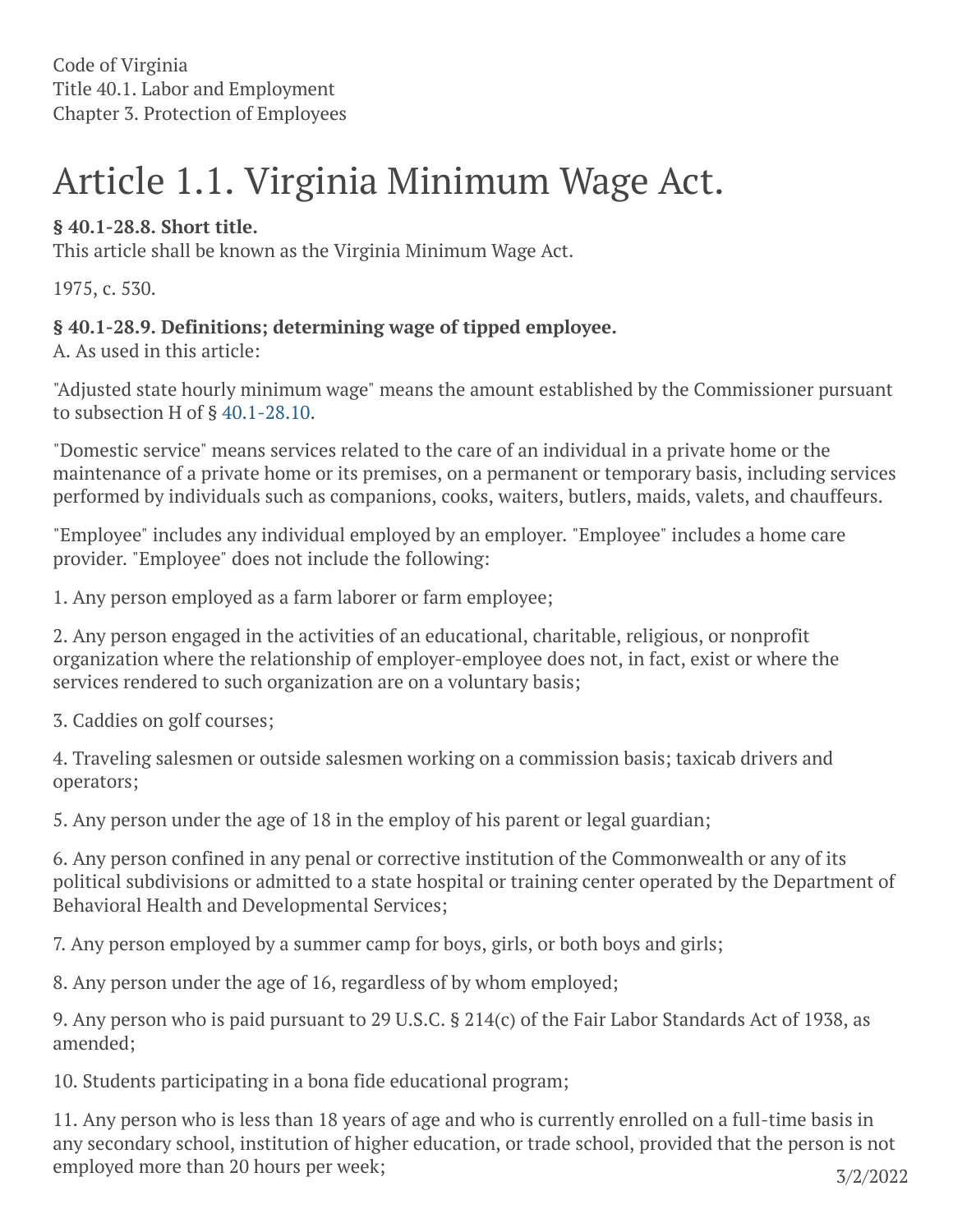Code of Virginia Title 40.1. Labor and Employment Chapter 3. Protection of Employees

# Article 1.1. Virginia Minimum Wage Act.

## **§ 40.1-28.8. Short title.**

This article shall be known as the Virginia Minimum Wage Act.

1975, c. 530.

## **§ 40.1-28.9. Definitions; determining wage of tipped employee.**

A. As used in this article:

"Adjusted state hourly minimum wage" means the amount established by the Commissioner pursuant to subsection H of § [40.1-28.10](https://law.lis.virginia.gov/vacode/40.1-28.10/).

"Domestic service" means services related to the care of an individual in a private home or the maintenance of a private home or its premises, on a permanent or temporary basis, including services performed by individuals such as companions, cooks, waiters, butlers, maids, valets, and chauffeurs.

"Employee" includes any individual employed by an employer. "Employee" includes a home care provider. "Employee" does not include the following:

1. Any person employed as a farm laborer or farm employee;

2. Any person engaged in the activities of an educational, charitable, religious, or nonprofit organization where the relationship of employer-employee does not, in fact, exist or where the services rendered to such organization are on a voluntary basis;

3. Caddies on golf courses;

4. Traveling salesmen or outside salesmen working on a commission basis; taxicab drivers and operators;

5. Any person under the age of 18 in the employ of his parent or legal guardian;

6. Any person confined in any penal or corrective institution of the Commonwealth or any of its political subdivisions or admitted to a state hospital or training center operated by the Department of Behavioral Health and Developmental Services;

7. Any person employed by a summer camp for boys, girls, or both boys and girls;

8. Any person under the age of 16, regardless of by whom employed;

9. Any person who is paid pursuant to 29 U.S.C. § 214(c) of the Fair Labor Standards Act of 1938, as amended;

10. Students participating in a bona fide educational program;

11. Any person who is less than 18 years of age and who is currently enrolled on a full-time basis in any secondary school, institution of higher education, or trade school, provided that the person is not employed more than 20 hours per week;  $3/2/2022$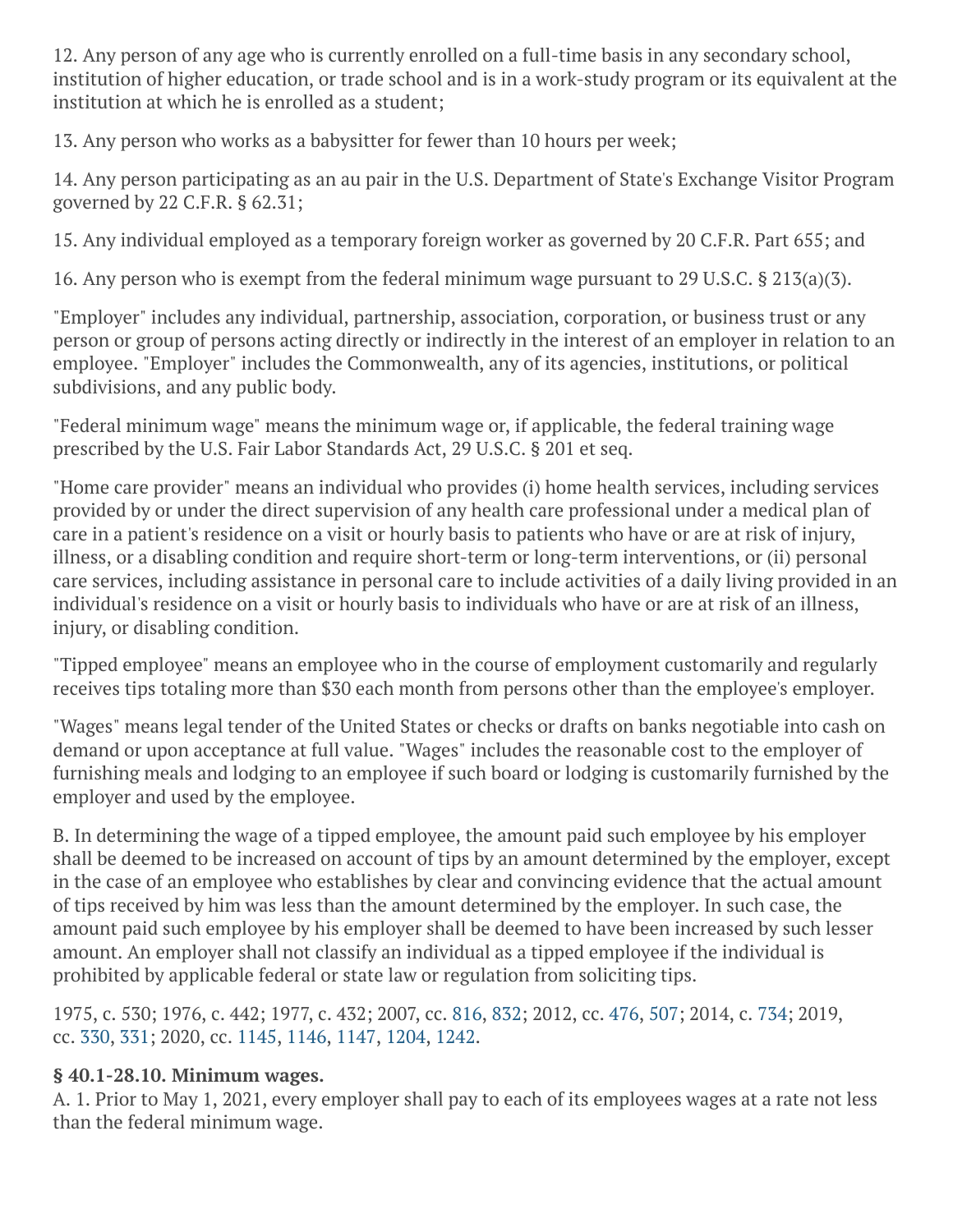12. Any person of any age who is currently enrolled on a full-time basis in any secondary school, institution of higher education, or trade school and is in a work-study program or its equivalent at the institution at which he is enrolled as a student;

13. Any person who works as a babysitter for fewer than 10 hours per week;

14. Any person participating as an au pair in the U.S. Department of State's Exchange Visitor Program governed by 22 C.F.R. § 62.31;

15. Any individual employed as a temporary foreign worker as governed by 20 C.F.R. Part 655; and

16. Any person who is exempt from the federal minimum wage pursuant to 29 U.S.C. § 213(a)(3).

"Employer" includes any individual, partnership, association, corporation, or business trust or any person or group of persons acting directly or indirectly in the interest of an employer in relation to an employee. "Employer" includes the Commonwealth, any of its agencies, institutions, or political subdivisions, and any public body.

"Federal minimum wage" means the minimum wage or, if applicable, the federal training wage prescribed by the U.S. Fair Labor Standards Act, 29 U.S.C. § 201 et seq.

"Home care provider" means an individual who provides (i) home health services, including services provided by or under the direct supervision of any health care professional under a medical plan of care in a patient's residence on a visit or hourly basis to patients who have or are at risk of injury, illness, or a disabling condition and require short-term or long-term interventions, or (ii) personal care services, including assistance in personal care to include activities of a daily living provided in an individual's residence on a visit or hourly basis to individuals who have or are at risk of an illness, injury, or disabling condition.

"Tipped employee" means an employee who in the course of employment customarily and regularly receives tips totaling more than \$30 each month from persons other than the employee's employer.

"Wages" means legal tender of the United States or checks or drafts on banks negotiable into cash on demand or upon acceptance at full value. "Wages" includes the reasonable cost to the employer of furnishing meals and lodging to an employee if such board or lodging is customarily furnished by the employer and used by the employee.

B. In determining the wage of a tipped employee, the amount paid such employee by his employer shall be deemed to be increased on account of tips by an amount determined by the employer, except in the case of an employee who establishes by clear and convincing evidence that the actual amount of tips received by him was less than the amount determined by the employer. In such case, the amount paid such employee by his employer shall be deemed to have been increased by such lesser amount. An employer shall not classify an individual as a tipped employee if the individual is prohibited by applicable federal or state law or regulation from soliciting tips.

1975, c. 530; 1976, c. 442; 1977, c. 432; 2007, cc. [816,](http://lis.virginia.gov/cgi-bin/legp604.exe?071+ful+CHAP0816) [832](http://lis.virginia.gov/cgi-bin/legp604.exe?071+ful+CHAP0832); 2012, cc. [476,](http://lis.virginia.gov/cgi-bin/legp604.exe?121+ful+CHAP0476) [507](http://lis.virginia.gov/cgi-bin/legp604.exe?121+ful+CHAP0507); 2014, c. [734](http://lis.virginia.gov/cgi-bin/legp604.exe?141+ful+CHAP0734); 2019, cc. [330,](http://lis.virginia.gov/cgi-bin/legp604.exe?191+ful+CHAP0330) [331](http://lis.virginia.gov/cgi-bin/legp604.exe?191+ful+CHAP0331); 2020, cc. [1145,](http://lis.virginia.gov/cgi-bin/legp604.exe?201+ful+CHAP1145) [1146,](http://lis.virginia.gov/cgi-bin/legp604.exe?201+ful+CHAP1146) [1147,](http://lis.virginia.gov/cgi-bin/legp604.exe?201+ful+CHAP1147) [1204](http://lis.virginia.gov/cgi-bin/legp604.exe?201+ful+CHAP1204), [1242.](http://lis.virginia.gov/cgi-bin/legp604.exe?201+ful+CHAP1242)

## **§ 40.1-28.10. Minimum wages.**

A. 1. Prior to May 1, 2021, every employer shall pay to each of its employees wages at a rate not less than the federal minimum wage.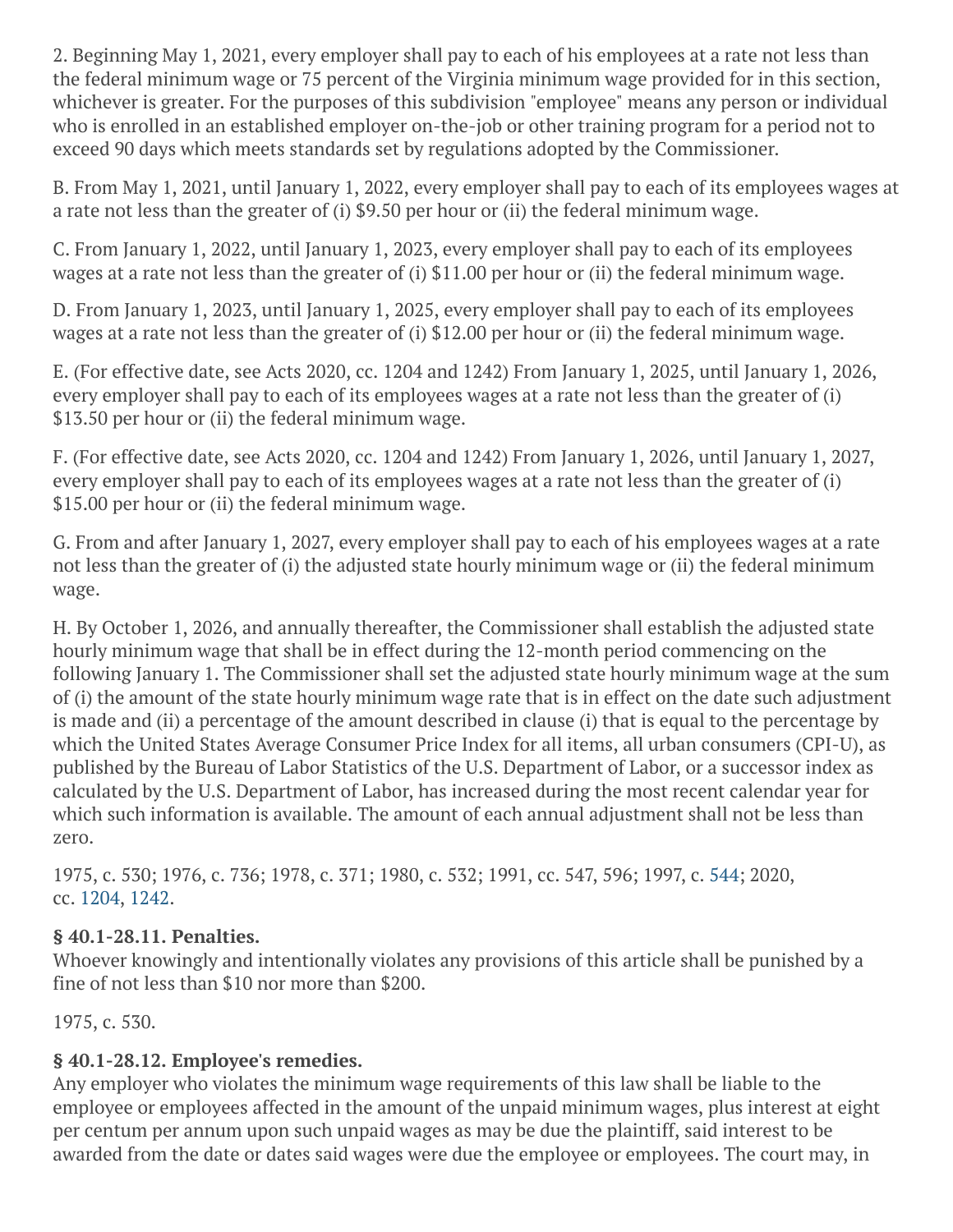2. Beginning May 1, 2021, every employer shall pay to each of his employees at a rate not less than the federal minimum wage or 75 percent of the Virginia minimum wage provided for in this section, whichever is greater. For the purposes of this subdivision "employee" means any person or individual who is enrolled in an established employer on-the-job or other training program for a period not to exceed 90 days which meets standards set by regulations adopted by the Commissioner.

B. From May 1, 2021, until January 1, 2022, every employer shall pay to each of its employees wages at a rate not less than the greater of (i) \$9.50 per hour or (ii) the federal minimum wage.

C. From January 1, 2022, until January 1, 2023, every employer shall pay to each of its employees wages at a rate not less than the greater of (i) \$11.00 per hour or (ii) the federal minimum wage.

D. From January 1, 2023, until January 1, 2025, every employer shall pay to each of its employees wages at a rate not less than the greater of (i) \$12.00 per hour or (ii) the federal minimum wage.

E. (For effective date, see Acts 2020, cc. 1204 and 1242) From January 1, 2025, until January 1, 2026, every employer shall pay to each of its employees wages at a rate not less than the greater of (i) \$13.50 per hour or (ii) the federal minimum wage.

F. (For effective date, see Acts 2020, cc. 1204 and 1242) From January 1, 2026, until January 1, 2027, every employer shall pay to each of its employees wages at a rate not less than the greater of (i) \$15.00 per hour or (ii) the federal minimum wage.

G. From and after January 1, 2027, every employer shall pay to each of his employees wages at a rate not less than the greater of (i) the adjusted state hourly minimum wage or (ii) the federal minimum wage.

H. By October 1, 2026, and annually thereafter, the Commissioner shall establish the adjusted state hourly minimum wage that shall be in effect during the 12-month period commencing on the following January 1. The Commissioner shall set the adjusted state hourly minimum wage at the sum of (i) the amount of the state hourly minimum wage rate that is in effect on the date such adjustment is made and (ii) a percentage of the amount described in clause (i) that is equal to the percentage by which the United States Average Consumer Price Index for all items, all urban consumers (CPI-U), as published by the Bureau of Labor Statistics of the U.S. Department of Labor, or a successor index as calculated by the U.S. Department of Labor, has increased during the most recent calendar year for which such information is available. The amount of each annual adjustment shall not be less than zero.

1975, c. 530; 1976, c. 736; 1978, c. 371; 1980, c. 532; 1991, cc. 547, 596; 1997, c. [544](http://lis.virginia.gov/cgi-bin/legp604.exe?971+ful+CHAP0544); 2020, cc. [1204](http://lis.virginia.gov/cgi-bin/legp604.exe?201+ful+CHAP1204), [1242.](http://lis.virginia.gov/cgi-bin/legp604.exe?201+ful+CHAP1242)

## **§ 40.1-28.11. Penalties.**

Whoever knowingly and intentionally violates any provisions of this article shall be punished by a fine of not less than \$10 nor more than \$200.

1975, c. 530.

## **§ 40.1-28.12. Employee's remedies.**

Any employer who violates the minimum wage requirements of this law shall be liable to the employee or employees affected in the amount of the unpaid minimum wages, plus interest at eight per centum per annum upon such unpaid wages as may be due the plaintiff, said interest to be awarded from the date or dates said wages were due the employee or employees. The court may, in